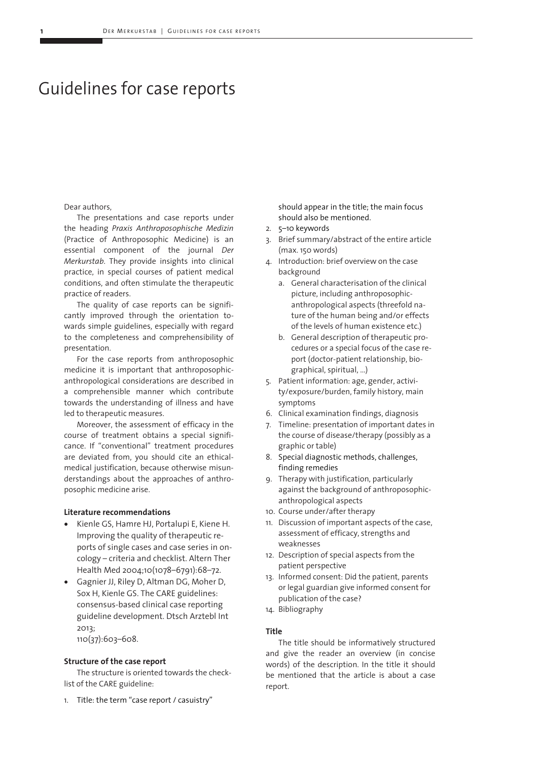# Guidelines for case reports

#### Dear authors,

The presentations and case reports under the heading *Praxis Anthroposophische Medizin* (Practice of Anthroposophic Medicine) is an essential component of the journal *Der Merkurstab*. They provide insights into clinical practice, in special courses of patient medical conditions, and often stimulate the therapeutic practice of readers.

The quality of case reports can be significantly improved through the orientation towards simple guidelines, especially with regard to the completeness and comprehensibility of presentation.

For the case reports from anthroposophic medicine it is important that anthroposophicanthropological considerations are described in a comprehensible manner which contribute towards the understanding of illness and have led to therapeutic measures.

Moreover, the assessment of efficacy in the course of treatment obtains a special significance. If "conventional" treatment procedures are deviated from, you should cite an ethicalmedical justification, because otherwise misunderstandings about the approaches of anthroposophic medicine arise.

## **Literature recommendations**

- Kienle GS, Hamre HJ, Portalupi E, Kiene H. Improving the quality of therapeutic reports of single cases and case series in oncology – criteria and checklist. Altern Ther Health Med 2004;10(1078–6791):68–72.
- Gagnier JJ, Riley D, Altman DG, Moher D, Sox H, Kienle GS. The CARE guidelines: consensus-based clinical case reporting guideline development. Dtsch Arztebl Int 2013; 110(37):603–608.

## **Structure of the case report**

The structure is oriented towards the checklist of the CARE guideline:

1. Title: the term "case report / casuistry"

should appear in the title; the main focus should also be mentioned.

- 2. 5–10 keywords
- 3. Brief summary/abstract of the entire article (max. 150 words)
- 4. Introduction: brief overview on the case background
	- a. General characterisation of the clinical picture, including anthroposophicanthropological aspects (threefold nature of the human being and/or effects of the levels of human existence etc.)
	- b. General description of therapeutic procedures or a special focus of the case report (doctor-patient relationship, biographical, spiritual, ...)
- 5. Patient information: age, gender, activity/exposure/burden, family history, main symptoms
- 6. Clinical examination findings, diagnosis
- 7. Timeline: presentation of important dates in the course of disease/therapy (possibly as a graphic or table)
- 8. Special diagnostic methods, challenges, finding remedies
- 9. Therapy with justification, particularly against the background of anthroposophicanthropological aspects
- 10. Course under/after therapy
- 11. Discussion of important aspects of the case, assessment of efficacy, strengths and weaknesses
- 12. Description of special aspects from the patient perspective
- 13. Informed consent: Did the patient, parents or legal guardian give informed consent for publication of the case?
- 14. Bibliography

#### **Title**

The title should be informatively structured and give the reader an overview (in concise words) of the description. In the title it should be mentioned that the article is about a case report.